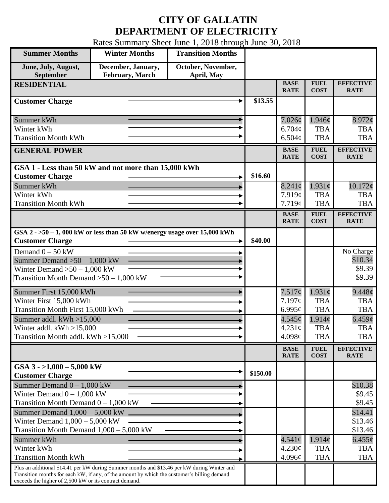## **CITY OF GALLATIN DEPARTMENT OF ELECTRICITY**

Rates Summary Sheet June 1, 2018 through June 30, 2018

| <b>Summer Months</b>                                                                                                                                                                                                                                 | <b>Winter Months</b>                         | <b>Transition Months</b>         |          |                            |                            |                                 |
|------------------------------------------------------------------------------------------------------------------------------------------------------------------------------------------------------------------------------------------------------|----------------------------------------------|----------------------------------|----------|----------------------------|----------------------------|---------------------------------|
| June, July, August,<br>September                                                                                                                                                                                                                     | December, January,<br><b>February, March</b> | October, November,<br>April, May |          |                            |                            |                                 |
| <b>RESIDENTIAL</b>                                                                                                                                                                                                                                   |                                              |                                  |          | <b>BASE</b><br><b>RATE</b> | <b>FUEL</b><br><b>COST</b> | <b>EFFECTIVE</b><br><b>RATE</b> |
| <b>Customer Charge</b>                                                                                                                                                                                                                               |                                              |                                  | \$13.55  |                            |                            |                                 |
| Summer kWh                                                                                                                                                                                                                                           |                                              |                                  |          | $7.026\phi$                | 1.946¢                     | $8.972$ ¢                       |
| Winter kWh<br><b>Transition Month kWh</b>                                                                                                                                                                                                            |                                              |                                  |          | $6.704\phi$<br>6.504¢      | <b>TBA</b><br><b>TBA</b>   | <b>TBA</b><br><b>TBA</b>        |
| <b>GENERAL POWER</b>                                                                                                                                                                                                                                 |                                              |                                  |          | <b>BASE</b><br><b>RATE</b> | <b>FUEL</b><br><b>COST</b> | <b>EFFECTIVE</b><br><b>RATE</b> |
| GSA 1 - Less than 50 kW and not more than 15,000 kWh                                                                                                                                                                                                 |                                              |                                  |          |                            |                            |                                 |
| <b>Customer Charge</b>                                                                                                                                                                                                                               |                                              |                                  | \$16.60  |                            |                            |                                 |
| Summer kWh                                                                                                                                                                                                                                           |                                              |                                  |          | $8.241\phi$                | $1.931\phi$                | 10.172¢                         |
| Winter kWh                                                                                                                                                                                                                                           |                                              |                                  |          | 7.919¢                     | <b>TBA</b>                 | <b>TBA</b>                      |
| <b>Transition Month kWh</b>                                                                                                                                                                                                                          |                                              |                                  |          | 7.719¢                     | <b>TBA</b>                 | <b>TBA</b>                      |
|                                                                                                                                                                                                                                                      |                                              |                                  |          | <b>BASE</b><br><b>RATE</b> | <b>FUEL</b><br><b>COST</b> | <b>EFFECTIVE</b><br><b>RATE</b> |
| GSA $2 - 50 - 1$ , 000 kW or less than 50 kW w/energy usage over 15,000 kWh<br><b>Customer Charge</b>                                                                                                                                                |                                              |                                  | \$40.00  |                            |                            |                                 |
| Demand $0 - 50$ kW                                                                                                                                                                                                                                   |                                              |                                  |          |                            |                            | No Charge                       |
| Summer Demand $>50 - 1,000$ kW                                                                                                                                                                                                                       |                                              |                                  |          |                            |                            | \$10.34                         |
| Winter Demand $>50-1,000$ kW                                                                                                                                                                                                                         |                                              |                                  |          |                            |                            | \$9.39                          |
| Transition Month Demand $>50-1,000$ kW                                                                                                                                                                                                               |                                              |                                  |          |                            |                            | \$9.39                          |
| Summer First 15,000 kWh                                                                                                                                                                                                                              |                                              |                                  |          | 7.517¢                     | $1.931\phi$                | 9.448¢                          |
| Winter First 15,000 kWh                                                                                                                                                                                                                              |                                              |                                  |          | 7.197¢                     | <b>TBA</b>                 | <b>TBA</b>                      |
| Transition Month First 15,000 kWh                                                                                                                                                                                                                    |                                              |                                  |          | 6.995 $\mathfrak{c}$       | <b>TBA</b>                 | <b>TBA</b>                      |
| Summer addl. $kWh > 15,000$                                                                                                                                                                                                                          |                                              |                                  |          | 4.545¢                     | $1.914\phi$                | 6.459¢                          |
| Winter addl. $kWh > 15,000$                                                                                                                                                                                                                          |                                              |                                  |          | 4.231¢                     | <b>TBA</b>                 | <b>TBA</b>                      |
| Transition Month addl. kWh >15,000                                                                                                                                                                                                                   |                                              |                                  |          | 4.098 $\phi$               | <b>TBA</b>                 | <b>TBA</b>                      |
|                                                                                                                                                                                                                                                      |                                              |                                  |          | <b>BASE</b><br><b>RATE</b> | <b>FUEL</b><br><b>COST</b> | <b>EFFECTIVE</b><br><b>RATE</b> |
| GSA $3 - 1,000 - 5,000$ kW<br><b>Customer Charge</b>                                                                                                                                                                                                 |                                              |                                  | \$150.00 |                            |                            |                                 |
| Summer Demand $0 - 1,000$ kW                                                                                                                                                                                                                         |                                              |                                  |          |                            |                            | \$10.38                         |
| Winter Demand $0 - 1,000$ kW                                                                                                                                                                                                                         |                                              |                                  |          |                            |                            | \$9.45                          |
| Transition Month Demand $0 - 1,000$ kW                                                                                                                                                                                                               |                                              |                                  |          |                            |                            | \$9.45                          |
| Summer Demand $1,000 - 5,000$ kW                                                                                                                                                                                                                     |                                              |                                  |          |                            |                            | \$14.41                         |
| Winter Demand $1,000 - 5,000$ kW                                                                                                                                                                                                                     |                                              |                                  |          |                            |                            | \$13.46                         |
| Transition Month Demand $1,000 - 5,000$ kW                                                                                                                                                                                                           |                                              |                                  |          |                            |                            | \$13.46                         |
| Summer kWh                                                                                                                                                                                                                                           |                                              |                                  |          | $4.541\phi$                | 1.914¢                     | $6.455\varrho$                  |
| Winter kWh                                                                                                                                                                                                                                           |                                              |                                  |          | 4.230¢                     | <b>TBA</b>                 | <b>TBA</b>                      |
| <b>Transition Month kWh</b>                                                                                                                                                                                                                          |                                              |                                  |          | 4.096¢                     | <b>TBA</b>                 | <b>TBA</b>                      |
| Plus an additional \$14.41 per kW during Summer months and \$13.46 per kW during Winter and<br>Transition months for each kW, if any, of the amount by which the customer's billing demand<br>exceeds the higher of 2,500 kW or its contract demand. |                                              |                                  |          |                            |                            |                                 |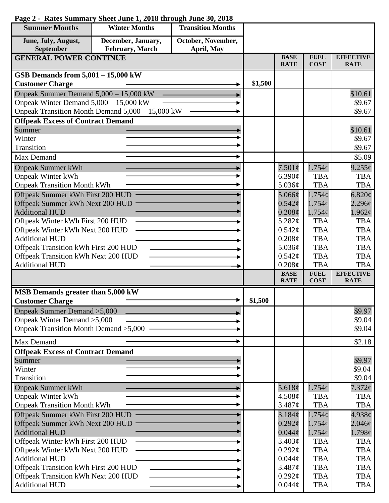| <b>Summer Months</b>                                                | <b>Winter Months</b>                             | <b>Transition Months</b> |         |                                   |                            |                                 |
|---------------------------------------------------------------------|--------------------------------------------------|--------------------------|---------|-----------------------------------|----------------------------|---------------------------------|
| June, July, August,                                                 | December, January,                               | October, November,       |         |                                   |                            |                                 |
| September                                                           | <b>February</b> , March                          | April, May               |         |                                   |                            |                                 |
| <b>GENERAL POWER CONTINUE</b>                                       |                                                  |                          |         | <b>BASE</b><br><b>RATE</b>        | <b>FUEL</b><br><b>COST</b> | <b>EFFECTIVE</b><br><b>RATE</b> |
| GSB Demands from $5,001 - 15,000$ kW                                |                                                  |                          |         |                                   |                            |                                 |
| <b>Customer Charge</b>                                              |                                                  |                          | \$1,500 |                                   |                            |                                 |
| Onpeak Summer Demand 5,000 - 15,000 kW                              |                                                  |                          |         |                                   |                            | \$10.61                         |
| Onpeak Winter Demand $5,000 - 15,000$ kW                            |                                                  |                          |         |                                   |                            | \$9.67                          |
|                                                                     | Onpeak Transition Month Demand 5,000 - 15,000 kW |                          |         |                                   |                            | \$9.67                          |
| <b>Offpeak Excess of Contract Demand</b>                            |                                                  |                          |         |                                   |                            |                                 |
| Summer                                                              |                                                  |                          |         |                                   |                            | \$10.61                         |
| Winter<br>Transition                                                |                                                  |                          |         |                                   |                            | \$9.67                          |
|                                                                     |                                                  |                          |         |                                   |                            | \$9.67                          |
| Max Demand                                                          |                                                  |                          |         |                                   |                            | \$5.09                          |
| <b>Onpeak Summer kWh</b>                                            |                                                  |                          |         | $7.501\phi$                       | $1.754\phi$                | $9.255\phi$                     |
| <b>Onpeak Winter kWh</b>                                            |                                                  |                          |         | 6.390¢<br>5.036¢                  | <b>TBA</b>                 | <b>TBA</b>                      |
| <b>Onpeak Transition Month kWh</b>                                  |                                                  |                          |         |                                   | <b>TBA</b>                 | <b>TBA</b>                      |
| Offpeak Summer kWh First 200 HUD<br>Offpeak Summer kWh Next 200 HUD |                                                  |                          |         | $5.066\phi$<br>$0.542\mathcal{C}$ | 1.754c<br>1.754c           | 6.820c<br>2.296¢                |
| <b>Additional HUD</b>                                               |                                                  |                          |         | $0.208\phi$                       | $1.754\phi$                | 1.962¢                          |
| Offpeak Winter kWh First 200 HUD                                    |                                                  |                          |         | 5.282¢                            | <b>TBA</b>                 | <b>TBA</b>                      |
| Offpeak Winter kWh Next 200 HUD                                     |                                                  |                          |         | 0.542¢                            | <b>TBA</b>                 | <b>TBA</b>                      |
| <b>Additional HUD</b>                                               |                                                  |                          |         | 0.208¢                            | <b>TBA</b>                 | <b>TBA</b>                      |
| Offpeak Transition kWh First 200 HUD                                |                                                  |                          |         | 5.036¢                            | <b>TBA</b>                 | <b>TBA</b>                      |
| Offpeak Transition kWh Next 200 HUD                                 |                                                  |                          |         | 0.542¢                            | <b>TBA</b>                 | <b>TBA</b>                      |
| <b>Additional HUD</b>                                               |                                                  |                          |         | 0.208c                            | <b>TBA</b>                 | <b>TBA</b>                      |
|                                                                     |                                                  |                          |         | <b>BASE</b><br><b>RATE</b>        | <b>FUEL</b><br><b>COST</b> | <b>EFFECTIVE</b><br><b>RATE</b> |
| MSB Demands greater than 5,000 kW                                   |                                                  |                          |         |                                   |                            |                                 |
| <b>Customer Charge</b>                                              |                                                  |                          | \$1,500 |                                   |                            |                                 |
| Onpeak Summer Demand > 5,000                                        |                                                  |                          |         |                                   |                            | \$9.97                          |
| Onpeak Winter Demand > 5,000                                        |                                                  |                          |         |                                   |                            | \$9.04                          |
| Onpeak Transition Month Demand > 5,000 -                            |                                                  |                          |         |                                   |                            | \$9.04                          |
| Max Demand                                                          |                                                  |                          |         |                                   |                            | \$2.18                          |
| <b>Offpeak Excess of Contract Demand</b>                            |                                                  |                          |         |                                   |                            |                                 |
| Summer                                                              |                                                  |                          |         |                                   |                            | \$9.97                          |
| Winter                                                              |                                                  |                          |         |                                   |                            | \$9.04                          |
| Transition                                                          |                                                  |                          |         |                                   |                            | \$9.04                          |
| <b>Onpeak Summer kWh</b>                                            |                                                  |                          |         | 5.618 $\phi$                      | $1.754\phi$                | $7.372\phi$                     |
| <b>Onpeak Winter kWh</b><br><b>Onpeak Transition Month kWh</b>      |                                                  |                          |         | 4.508¢<br>3.487¢                  | TBA<br><b>TBA</b>          | <b>TBA</b><br><b>TBA</b>        |
|                                                                     |                                                  |                          |         |                                   | 1.754c                     |                                 |
| Offpeak Summer kWh First 200 HUD<br>Offpeak Summer kWh Next 200 HUD |                                                  |                          |         | 3.184¢<br>$0.292\ell$             | $1.754\mathcal{C}$         | 4.938c<br>$2.046\phi$           |
| <b>Additional HUD</b>                                               |                                                  |                          |         | $0.044\phi$                       | $1.754\phi$                | 1.798¢                          |
| Offpeak Winter kWh First 200 HUD                                    |                                                  |                          |         | 3.403¢                            | <b>TBA</b>                 | <b>TBA</b>                      |
| Offpeak Winter kWh Next 200 HUD                                     |                                                  |                          |         | $0.292\mathcal{C}$                | <b>TBA</b>                 | <b>TBA</b>                      |
| <b>Additional HUD</b>                                               |                                                  |                          |         | $0.044\phi$                       | <b>TBA</b>                 | <b>TBA</b>                      |
| Offpeak Transition kWh First 200 HUD                                |                                                  |                          |         | 3.487¢                            | <b>TBA</b>                 | <b>TBA</b>                      |
| Offpeak Transition kWh Next 200 HUD                                 |                                                  |                          |         | $0.292\varphi$                    | <b>TBA</b>                 | <b>TBA</b>                      |
| <b>Additional HUD</b>                                               |                                                  |                          |         | $0.044\phi$                       | <b>TBA</b>                 | <b>TBA</b>                      |

## **Page 2 - Rates Summary Sheet June 1, 2018 through June 30, 2018**